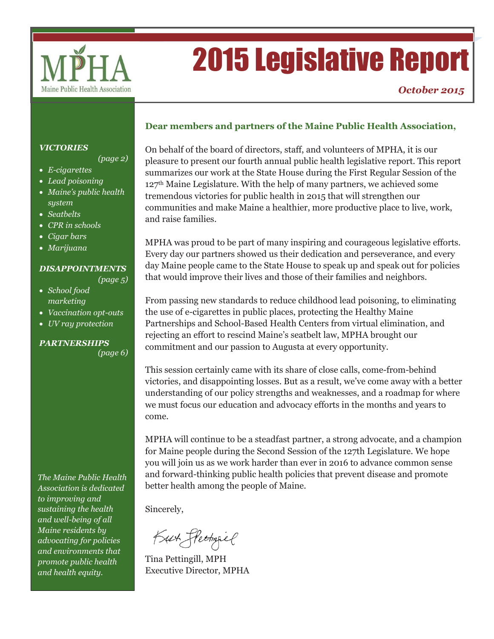

# 2015 Legislative Report

#### *VICTORIES*

*(page 2)*

*(page 5)*

- *E-cigarettes*
- *Lead poisoning*
- *Maine's public health system*
- *Seatbelts*
- *CPR in schools*
- *Cigar bars*
- *Marijuana*

#### *DISAPPOINTMENTS*

- *School food marketing*
- *Vaccination opt-outs*
- *UV ray protection*

#### *PARTNERSHIPS (page 6)*

*The Maine Public Health Association is dedicated to improving and sustaining the health and well-being of all Maine residents by advocating for policies and environments that promote public health and health equity.* 

#### **Dear members and partners of the Maine Public Health Association,**

On behalf of the board of directors, staff, and volunteers of MPHA, it is our pleasure to present our fourth annual public health legislative report. This report summarizes our work at the State House during the First Regular Session of the 127th Maine Legislature. With the help of many partners, we achieved some tremendous victories for public health in 2015 that will strengthen our communities and make Maine a healthier, more productive place to live, work, and raise families.

MPHA was proud to be part of many inspiring and courageous legislative efforts. Every day our partners showed us their dedication and perseverance, and every day Maine people came to the State House to speak up and speak out for policies that would improve their lives and those of their families and neighbors.

From passing new standards to reduce childhood lead poisoning, to eliminating the use of e-cigarettes in public places, protecting the Healthy Maine Partnerships and School-Based Health Centers from virtual elimination, and rejecting an effort to rescind Maine's seatbelt law, MPHA brought our commitment and our passion to Augusta at every opportunity.

This session certainly came with its share of close calls, come-from-behind victories, and disappointing losses. But as a result, we've come away with a better understanding of our policy strengths and weaknesses, and a roadmap for where we must focus our education and advocacy efforts in the months and years to come.

MPHA will continue to be a steadfast partner, a strong advocate, and a champion for Maine people during the Second Session of the 127th Legislature. We hope you will join us as we work harder than ever in 2016 to advance common sense and forward-thinking public health policies that prevent disease and promote better health among the people of Maine.

Sincerely,

Kut Steetingiel

Tina Pettingill, MPH Executive Director, MPHA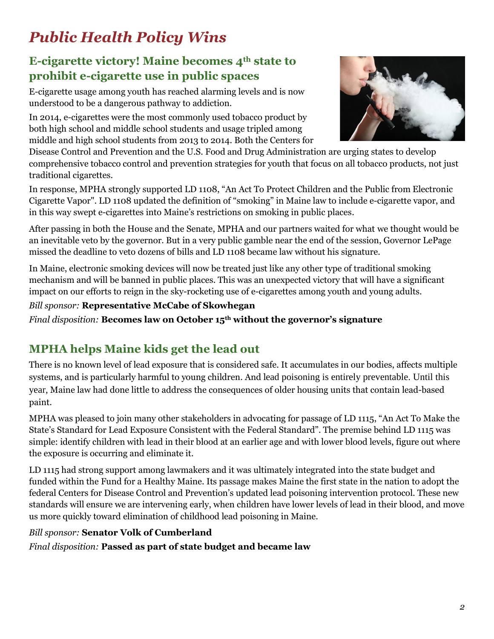# *Public Health Policy Wins*

# **E-cigarette victory! Maine becomes 4th state to prohibit e-cigarette use in public spaces**

E-cigarette usage among youth has reached alarming levels and is now understood to be a dangerous pathway to addiction.

In 2014, e-cigarettes were the most commonly used tobacco product by both high school and middle school students and usage tripled among middle and high school students from 2013 to 2014. Both the Centers for



Disease Control and Prevention and the U.S. Food and Drug Administration are urging states to develop comprehensive tobacco control and prevention strategies for youth that focus on all tobacco products, not just traditional cigarettes.

In response, MPHA strongly supported LD 1108, "An Act To Protect Children and the Public from Electronic Cigarette Vapor". LD 1108 updated the definition of "smoking" in Maine law to include e-cigarette vapor, and in this way swept e-cigarettes into Maine's restrictions on smoking in public places.

After passing in both the House and the Senate, MPHA and our partners waited for what we thought would be an inevitable veto by the governor. But in a very public gamble near the end of the session, Governor LePage missed the deadline to veto dozens of bills and LD 1108 became law without his signature.

In Maine, electronic smoking devices will now be treated just like any other type of traditional smoking mechanism and will be banned in public places. This was an unexpected victory that will have a significant impact on our efforts to reign in the sky-rocketing use of e-cigarettes among youth and young adults.

#### *Bill sponsor:* **Representative McCabe of Skowhegan**

*Final disposition:* **Becomes law on October 15th without the governor's signature**

# **MPHA helps Maine kids get the lead out**

There is no known level of lead exposure that is considered safe. It accumulates in our bodies, affects multiple systems, and is particularly harmful to young children. And lead poisoning is entirely preventable. Until this year, Maine law had done little to address the consequences of older housing units that contain lead-based paint.

MPHA was pleased to join many other stakeholders in advocating for passage of LD 1115, "An Act To Make the State's Standard for Lead Exposure Consistent with the Federal Standard". The premise behind LD 1115 was simple: identify children with lead in their blood at an earlier age and with lower blood levels, figure out where the exposure is occurring and eliminate it.

LD 1115 had strong support among lawmakers and it was ultimately integrated into the state budget and funded within the Fund for a Healthy Maine. Its passage makes Maine the first state in the nation to adopt the federal Centers for Disease Control and Prevention's updated lead poisoning intervention protocol. These new standards will ensure we are intervening early, when children have lower levels of lead in their blood, and move us more quickly toward elimination of childhood lead poisoning in Maine.

#### *Bill sponsor:* **Senator Volk of Cumberland**

*Final disposition:* **Passed as part of state budget and became law**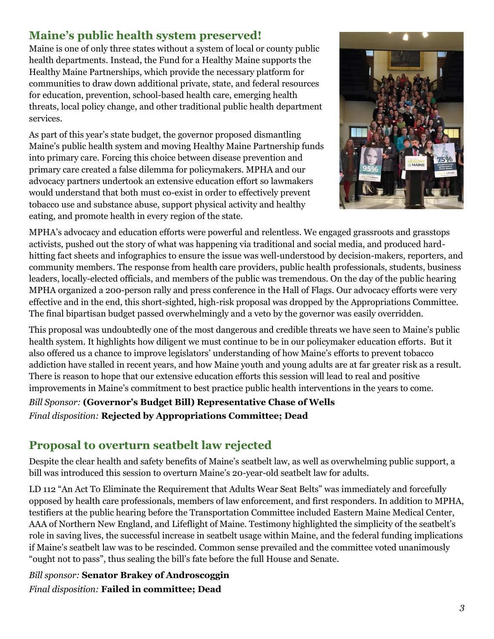# **Maine's public health system preserved!**

Maine is one of only three states without a system of local or county public health departments. Instead, the Fund for a Healthy Maine supports the Healthy Maine Partnerships, which provide the necessary platform for communities to draw down additional private, state, and federal resources for education, prevention, school-based health care, emerging health threats, local policy change, and other traditional public health department services.

As part of this year's state budget, the governor proposed dismantling Maine's public health system and moving Healthy Maine Partnership funds into primary care. Forcing this choice between disease prevention and primary care created a false dilemma for policymakers. MPHA and our advocacy partners undertook an extensive education effort so lawmakers would understand that both must co-exist in order to effectively prevent tobacco use and substance abuse, support physical activity and healthy eating, and promote health in every region of the state.



MPHA's advocacy and education efforts were powerful and relentless. We engaged grassroots and grasstops activists, pushed out the story of what was happening via traditional and social media, and produced hardhitting fact sheets and infographics to ensure the issue was well-understood by decision-makers, reporters, and community members. The response from health care providers, public health professionals, students, business leaders, locally-elected officials, and members of the public was tremendous. On the day of the public hearing MPHA organized a 200-person rally and press conference in the Hall of Flags. Our advocacy efforts were very effective and in the end, this short-sighted, high-risk proposal was dropped by the Appropriations Committee. The final bipartisan budget passed overwhelmingly and a veto by the governor was easily overridden.

This proposal was undoubtedly one of the most dangerous and credible threats we have seen to Maine's public health system. It highlights how diligent we must continue to be in our policymaker education efforts. But it also offered us a chance to improve legislators' understanding of how Maine's efforts to prevent tobacco addiction have stalled in recent years, and how Maine youth and young adults are at far greater risk as a result. There is reason to hope that our extensive education efforts this session will lead to real and positive improvements in Maine's commitment to best practice public health interventions in the years to come.

*Bill Sponsor:* **(Governor's Budget Bill) Representative Chase of Wells** *Final disposition:* **Rejected by Appropriations Committee; Dead**

# **Proposal to overturn seatbelt law rejected**

Despite the clear health and safety benefits of Maine's seatbelt law, as well as overwhelming public support, a bill was introduced this session to overturn Maine's 20-year-old seatbelt law for adults.

LD 112 "An Act To Eliminate the Requirement that Adults Wear Seat Belts" was immediately and forcefully opposed by health care professionals, members of law enforcement, and first responders. In addition to MPHA, testifiers at the public hearing before the Transportation Committee included Eastern Maine Medical Center, AAA of Northern New England, and Lifeflight of Maine. Testimony highlighted the simplicity of the seatbelt's role in saving lives, the successful increase in seatbelt usage within Maine, and the federal funding implications if Maine's seatbelt law was to be rescinded. Common sense prevailed and the committee voted unanimously "ought not to pass", thus sealing the bill's fate before the full House and Senate.

*Bill sponsor:* **Senator Brakey of Androscoggin** *Final disposition:* **Failed in committee; Dead**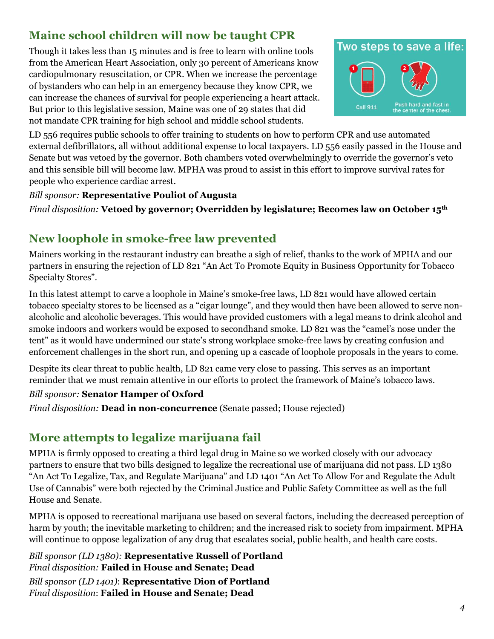# **Maine school children will now be taught CPR**

Though it takes less than 15 minutes and is free to learn with online tools from the American Heart Association, only 30 percent of Americans know cardiopulmonary resuscitation, or CPR. When we increase the percentage of bystanders who can help in an emergency because they know CPR, we can increase the chances of survival for people experiencing a heart attack. But prior to this legislative session, Maine was one of 29 states that did not mandate CPR training for high school and middle school students.



LD 556 requires public schools to offer training to students on how to perform CPR and use automated external defibrillators, all without additional expense to local taxpayers. LD 556 easily passed in the House and Senate but was vetoed by the governor. Both chambers voted overwhelmingly to override the governor's veto and this sensible bill will become law. MPHA was proud to assist in this effort to improve survival rates for people who experience cardiac arrest.

#### *Bill sponsor:* **Representative Pouliot of Augusta**

*Final disposition:* **Vetoed by governor; Overridden by legislature; Becomes law on October 15th**

# **New loophole in smoke-free law prevented**

Mainers working in the restaurant industry can breathe a sigh of relief, thanks to the work of MPHA and our partners in ensuring the rejection of LD 821 "An Act To Promote Equity in Business Opportunity for Tobacco Specialty Stores".

In this latest attempt to carve a loophole in Maine's smoke-free laws, LD 821 would have allowed certain tobacco specialty stores to be licensed as a "cigar lounge", and they would then have been allowed to serve nonalcoholic and alcoholic beverages. This would have provided customers with a legal means to drink alcohol and smoke indoors and workers would be exposed to secondhand smoke. LD 821 was the "camel's nose under the tent" as it would have undermined our state's strong workplace smoke-free laws by creating confusion and enforcement challenges in the short run, and opening up a cascade of loophole proposals in the years to come.

Despite its clear threat to public health, LD 821 came very close to passing. This serves as an important reminder that we must remain attentive in our efforts to protect the framework of Maine's tobacco laws.

#### *Bill sponsor:* **Senator Hamper of Oxford**

*Final disposition:* **Dead in non-concurrence** (Senate passed; House rejected)

## **More attempts to legalize marijuana fail**

MPHA is firmly opposed to creating a third legal drug in Maine so we worked closely with our advocacy partners to ensure that two bills designed to legalize the recreational use of marijuana did not pass. LD 1380 "An Act To Legalize, Tax, and Regulate Marijuana" and LD 1401 "An Act To Allow For and Regulate the Adult Use of Cannabis" were both rejected by the Criminal Justice and Public Safety Committee as well as the full House and Senate.

MPHA is opposed to recreational marijuana use based on several factors, including the decreased perception of harm by youth; the inevitable marketing to children; and the increased risk to society from impairment. MPHA will continue to oppose legalization of any drug that escalates social, public health, and health care costs.

*Bill sponsor (LD 1380):* **Representative Russell of Portland** *Final disposition:* **Failed in House and Senate; Dead** *Bill sponsor (LD 1401)*: **Representative Dion of Portland** *Final disposition*: **Failed in House and Senate; Dead**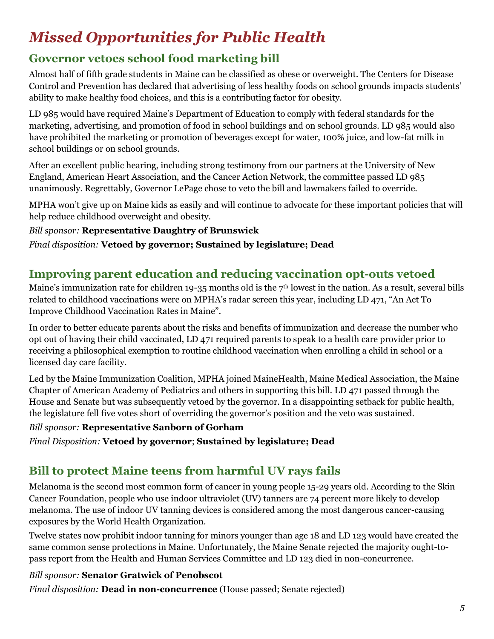# *Missed Opportunities for Public Health*

# **Governor vetoes school food marketing bill**

Almost half of fifth grade students in Maine can be classified as obese or overweight. The Centers for Disease Control and Prevention has declared that advertising of less healthy foods on school grounds impacts students' ability to make healthy food choices, and this is a contributing factor for obesity.

LD 985 would have required Maine's Department of Education to comply with federal standards for the marketing, advertising, and promotion of food in school buildings and on school grounds. LD 985 would also have prohibited the marketing or promotion of beverages except for water, 100% juice, and low-fat milk in school buildings or on school grounds.

After an excellent public hearing, including strong testimony from our partners at the University of New England, American Heart Association, and the Cancer Action Network, the committee passed LD 985 unanimously. Regrettably, Governor LePage chose to veto the bill and lawmakers failed to override.

MPHA won't give up on Maine kids as easily and will continue to advocate for these important policies that will help reduce childhood overweight and obesity.

#### *Bill sponsor:* **Representative Daughtry of Brunswick**

*Final disposition:* **Vetoed by governor; Sustained by legislature; Dead**

# **Improving parent education and reducing vaccination opt-outs vetoed**

Maine's immunization rate for children 19-35 months old is the 7<sup>th</sup> lowest in the nation. As a result, several bills related to childhood vaccinations were on MPHA's radar screen this year, including LD 471, "An Act To Improve Childhood Vaccination Rates in Maine".

In order to better educate parents about the risks and benefits of immunization and decrease the number who opt out of having their child vaccinated, LD 471 required parents to speak to a health care provider prior to receiving a philosophical exemption to routine childhood vaccination when enrolling a child in school or a licensed day care facility.

Led by the Maine Immunization Coalition, MPHA joined MaineHealth, Maine Medical Association, the Maine Chapter of American Academy of Pediatrics and others in supporting this bill. LD 471 passed through the House and Senate but was subsequently vetoed by the governor. In a disappointing setback for public health, the legislature fell five votes short of overriding the governor's position and the veto was sustained.

#### *Bill sponsor:* **Representative Sanborn of Gorham**

*Final Disposition:* **Vetoed by governor**; **Sustained by legislature; Dead**

## **Bill to protect Maine teens from harmful UV rays fails**

Melanoma is the second most common form of cancer in young people 15-29 years old. According to the Skin Cancer Foundation, people who use indoor ultraviolet (UV) tanners are 74 percent more likely to develop melanoma. The use of indoor UV tanning devices is considered among the most dangerous cancer-causing exposures by the World Health Organization.

Twelve states now prohibit indoor tanning for minors younger than age 18 and LD 123 would have created the same common sense protections in Maine. Unfortunately, the Maine Senate rejected the majority ought-topass report from the Health and Human Services Committee and LD 123 died in non-concurrence.

#### *Bill sponsor:* **Senator Gratwick of Penobscot**

*Final disposition:* **Dead in non-concurrence** (House passed; Senate rejected)